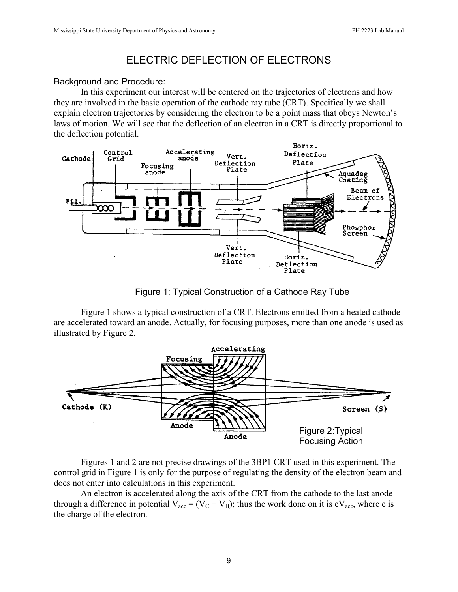# ELECTRIC DEFLECTION OF ELECTRONS

## Background and Procedure:

In this experiment our interest will be centered on the trajectories of electrons and how they are involved in the basic operation of the cathode ray tube (CRT). Specifically we shall explain electron trajectories by considering the electron to be a point mass that obeys Newton's laws of motion. We will see that the deflection of an electron in a CRT is directly proportional to the deflection potential.



Figure 1: Typical Construction of a Cathode Ray Tube

Figure 1 shows a typical construction of a CRT. Electrons emitted from a heated cathode are accelerated toward an anode. Actually, for focusing purposes, more than one anode is used as illustrated by Figure 2.



Figures 1 and 2 are not precise drawings of the 3BP1 CRT used in this experiment. The control grid in Figure 1 is only for the purpose of regulating the density of the electron beam and does not enter into calculations in this experiment.

An electron is accelerated along the axis of the CRT from the cathode to the last anode through a difference in potential  $V_{\text{acc}} = (V_C + V_B)$ ; thus the work done on it is eV<sub>acc</sub>, where e is the charge of the electron.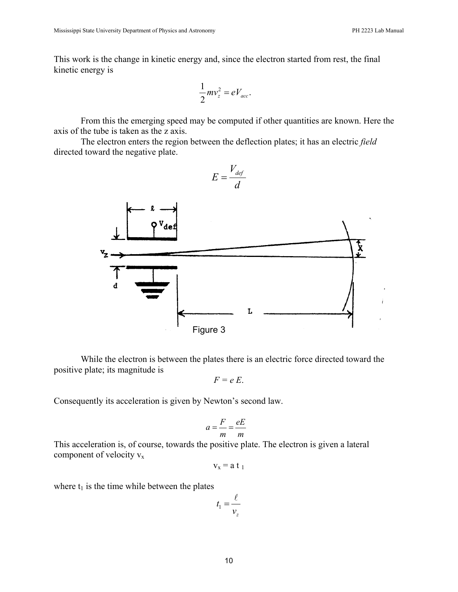This work is the change in kinetic energy and, since the electron started from rest, the final kinetic energy is

$$
\frac{1}{2}mv_z^2 = eV_{acc}.
$$

From this the emerging speed may be computed if other quantities are known. Here the axis of the tube is taken as the z axis.

The electron enters the region between the deflection plates; it has an electric *field*  directed toward the negative plate.



While the electron is between the plates there is an electric force directed toward the positive plate; its magnitude is

$$
F = e E.
$$

Consequently its acceleration is given by Newton's second law.

$$
a = \frac{F}{m} = \frac{eE}{m}
$$

This acceleration is, of course, towards the positive plate. The electron is given a lateral component of velocity  $v_x$ 

$$
v_x = a \ t_1
$$

where  $t_1$  is the time while between the plates

$$
t_1 = \frac{\ell}{\nu_z}
$$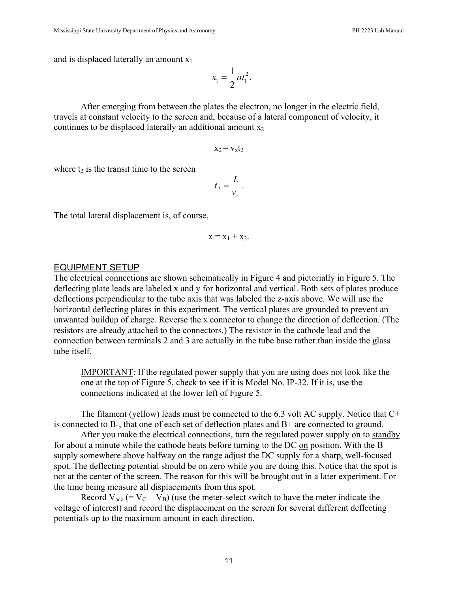and is displaced laterally an amount  $x_1$ 

$$
x_1 = \frac{1}{2} a t_1^2.
$$

After emerging from between the plates the electron, no longer in the electric field, travels at constant velocity to the screen and, because of a lateral component of velocity, it continues to be displaced laterally an additional amount  $x_2$ 

$$
x_2 = v_x t_2
$$

where  $t_2$  is the transit time to the screen

$$
t_2 = \frac{L}{v_z}.
$$

The total lateral displacement is, of course,

$$
x = x_1 + x_2.
$$

#### EQUIPMENT SETUP

The electrical connections are shown schematically in Figure 4 and pictorially in Figure 5. The deflecting plate leads are labeled x and y for horizontal and vertical. Both sets of plates produce deflections perpendicular to the tube axis that was labeled the z-axis above. We will use the horizontal deflecting plates in this experiment. The vertical plates are grounded to prevent an unwanted buildup of charge. Reverse the x connector to change the direction of deflection. (The resistors are already attached to the connectors.) The resistor in the cathode lead and the connection between terminals 2 and 3 are actually in the tube base rather than inside the glass tube itself.

IMPORTANT: If the regulated power supply that you are using does not look like the one at the top of Figure 5, check to see if it is Model No. IP-32. If it is, use the connections indicated at the lower left of Figure 5.

The filament (yellow) leads must be connected to the 6.3 volt AC supply. Notice that C+ is connected to B-, that one of each set of deflection plates and B+ are connected to ground.

After you make the electrical connections, turn the regulated power supply on to standby for about a minute while the cathode heats before turning to the DC on position. With the B supply somewhere above halfway on the range adjust the DC supply for a sharp, well-focused spot. The deflecting potential should be on zero while you are doing this. Notice that the spot is not at the center of the screen. The reason for this will be brought out in a later experiment. For the time being measure all displacements from this spot.

Record  $V_{\text{acc}}$  (=  $V_C + V_B$ ) (use the meter-select switch to have the meter indicate the voltage of interest) and record the displacement on the screen for several different deflecting potentials up to the maximum amount in each direction.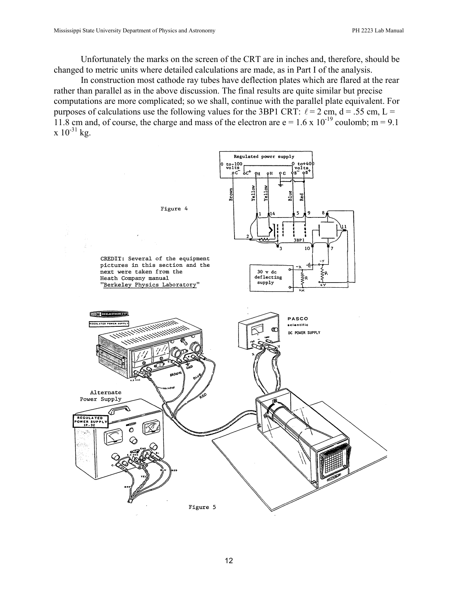Unfortunately the marks on the screen of the CRT are in inches and, therefore, should be changed to metric units where detailed calculations are made, as in Part I of the analysis.

In construction most cathode ray tubes have deflection plates which are flared at the rear rather than parallel as in the above discussion. The final results are quite similar but precise computations are more complicated; so we shall, continue with the parallel plate equivalent. For purposes of calculations use the following values for the 3BP1 CRT:  $\ell = 2$  cm,  $d = .55$  cm,  $L =$ 11.8 cm and, of course, the charge and mass of the electron are  $e = 1.6 \times 10^{-19}$  coulomb; m = 9.1  $x 10^{-31}$  kg.